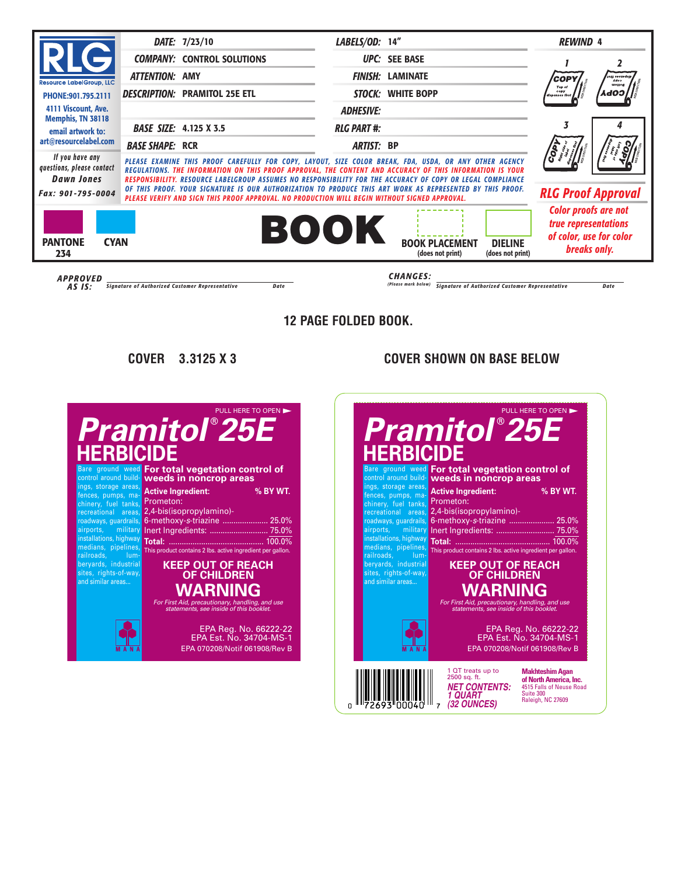#### $\frac{1}{2}$  **f**  $\frac{1}{2}$  **C** KEEP OUT OF REACH OF CHILDREN **IERBICIDE Pramitol 25E HERBICIDE** rekki ch **HERBICIDE Pramitol** ® **25E** PULL HERE TO OPEN

**EXTERNAL ACTIVE** comor aroana bana<br>ings, storage areas, tences, pumps, machinery, tuel tanks, **LI**UI recreational areas,  $2.4$ roadways, guardrails, **6-m** installations, highway  $\frac{1}{n}$  Hotelines,  $\frac{1}{n}$  Hotelines,  $\frac{1}{n}$ railroads, lumberyards, industrial sites, rights-of-way, **and similar areas...** Bare ground weed airports, military

## **For total vegetation control of** weeds in noncrop areas

| <b>Active Ingredient:</b>                                  | % BY WT. |
|------------------------------------------------------------|----------|
| Prometon:                                                  |          |
| 2.4-bis(isopropylamino)-                                   |          |
| 6-methoxy-s-triazine  25.0%                                |          |
|                                                            |          |
|                                                            |          |
| This product contains 2 lbs. active ingredient per gallon. |          |

## **KEEP OUT OF REACH** nate **OF CHILDREN purpose**

For First Aid, precautionary, handling, and use fied on this label. statements, see inside of this booklet. **ways, guardrails, airports, military installa tions, high -**

## Do not use, pour, spill, or store near heat or open flame. Store at temperatures EPA Reg. No. 66222-22 above 32°F. EPA Est. No. 34704-MS-1 EPA 070208/Notif 061908/Rev B

**way medians, pipelines, railroads, lumberyards, industrial sites, rights-ofway and similar areas. . .**

**recreational areas, road-**

1 QT treats up to 2500 sq. ft. **NET CONTENTS:** 1 QUART **(32 OUNCES)** 

**Makhteshim Agan of North America, Inc.** 4515 Falls of Neuse Road Suite 300

Raleigh, NC 27609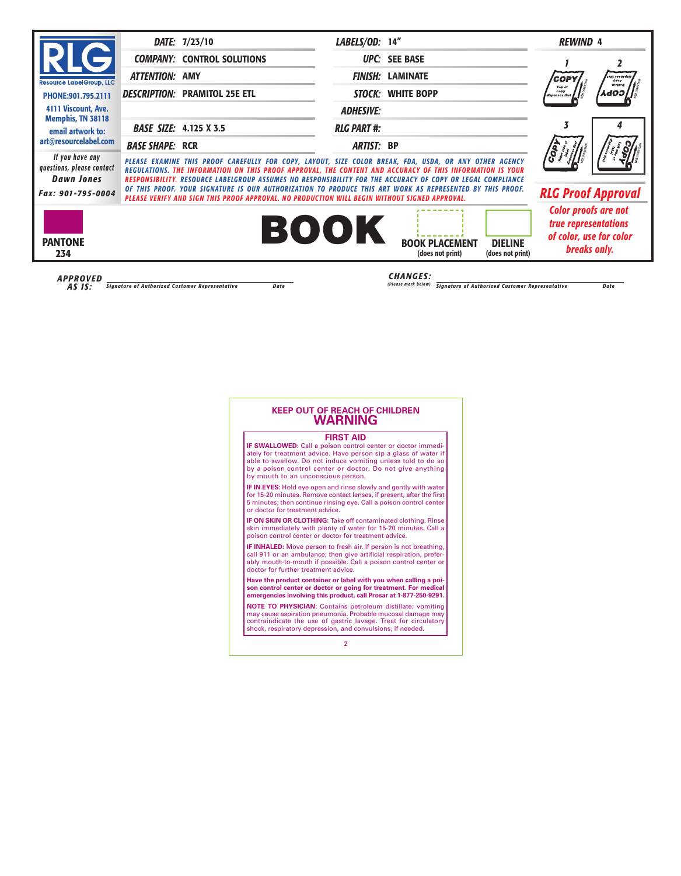## **KEEP OUT OF REACH OF CHILDREN WARNING**

### **FIRST AID**

**IF SWALLOWED:** Call a poison control center or doctor immediately for treatment advice. Have person sip a glass of water if able to swallow. Do not induce vomiting unless told to do so by a poison control center or doctor. Do not give anything by mouth to an unconscious person.

**IF IN EYES:** Hold eye open and rinse slowly and gently with water for 15-20 minutes. Remove contact lenses, if present, after the first 5 minutes; then continue rinsing eye. Call a poison control center or doctor for treatment advice.

**IF ON SKIN OR CLOTHING:** Take off contaminated clothing. Rinse skin immediately with plenty of water for 15-20 minutes. Call a poison control center or doctor for treatment advice.

**IF INHALED:** Move person to fresh air. If person is not breathing, call 911 or an ambulance; then give artificial respiration, preferably mouth-to-mouth if possible. Call a poison control center or doctor for further treatment advice.

**Have the product container or label with you when calling a poison control center or doctor or going for treatment. For medical emergencies involving this product, call Prosar at 1-877-250-9291.**

**NOTE TO PHYSICIAN:** Contains petroleum distillate; vomiting may cause aspiration pneumonia. Probable mucosal damage may contraindicate the use of gastric lavage. Treat for circulatory shock, respiratory depression, and convulsions, if needed.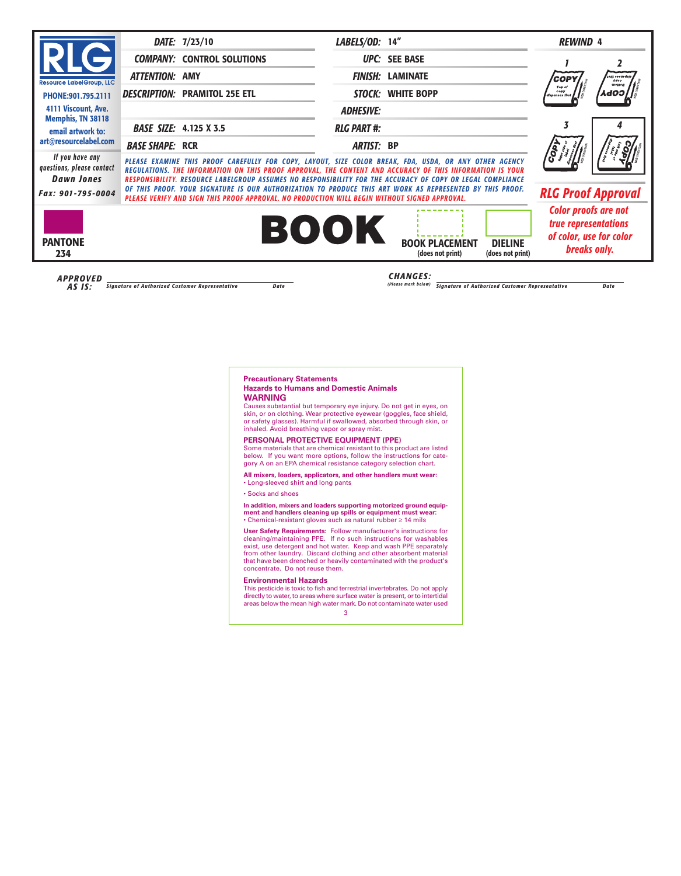### **Precautionary Statements Hazards to Humans and Domestic Animals WARNING**

Causes substantial but temporary eye injury. Do not get in eyes, on skin, or on clothing. Wear protective eyewear (goggles, face shield, or safety glasses). Harmful if swallowed, absorbed through skin, or inhaled. Avoid breathing vapor or spray mist.

### **PERSONAL PROTECTIVE EQUIPMENT (PPE)**

Some materials that are chemical resistant to this product are listed below. If you want more options, follow the instructions for category A on an EPA chemical resistance category selection chart.

**All mixers, loaders, applicators, and other handlers must wear:** • Long-sleeved shirt and long pants

• Socks and shoes

**In addition, mixers and loaders supporting motorized ground equipment and handlers cleaning up spills or equipment must wear:**

• Chemical-resistant gloves such as natural rubber ≥ 14 mils

**User Safety Requirements:** Follow manufacturer's instructions for cleaning/maintaining PPE. If no such instructions for washables exist, use detergent and hot water. Keep and wash PPE separately from other laundry. Discard clothing and other absorbent material that have been drenched or heavily contaminated with the product's concentrate. Do not reuse them.

### **Environmental Hazards**

This pesticide is toxic to fish and terrestrial invertebrates. Do not apply directly to water, to areas where surface water is present, or to intertidal areas below the mean high water mark. Do not contaminate water used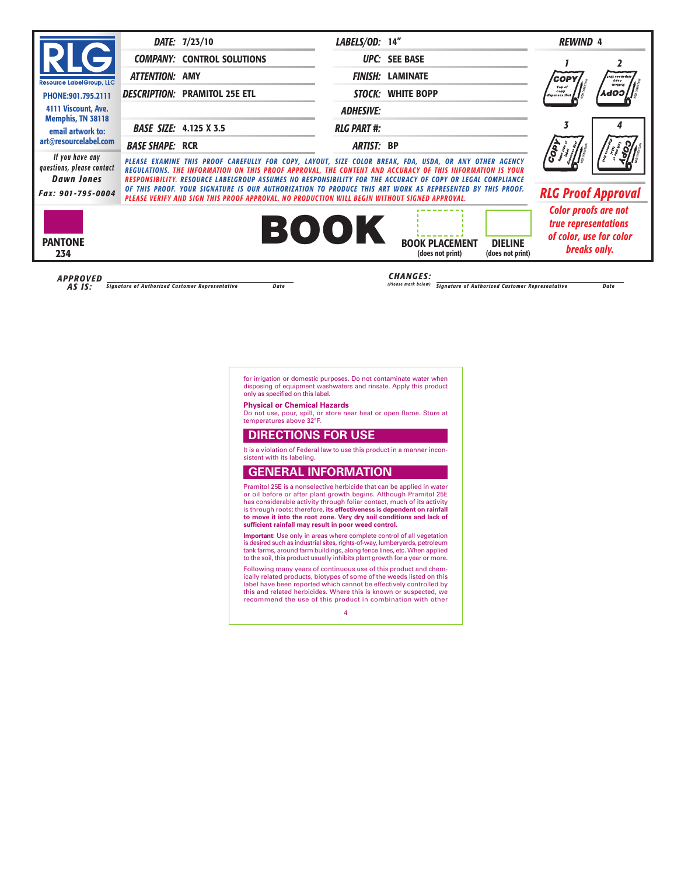for irrigation or domestic purposes. Do not contaminate water when disposing of equipment washwaters and rinsate. Apply this product only as specified on this label.

### **Physical or Chemical Hazards**

Do not use, pour, spill, or store near heat or open flame. Store at temperatures above 32°F.

# **DIRECTIONS FOR USE**

It is a violation of Federal law to use this product in a manner inconsistent with its labeling.

# **GENERAL INFORMATION**

Pramitol 25E is a nonselective herbicide that can be applied in water or oil before or after plant growth begins. Although Pramitol 25E has considerable activity through foliar contact, much of its activity is through roots; therefore, **its effectiveness is dependent on rainfall to move it into the root zone. Very dry soil conditions and lack of sufficient rainfall may result in poor weed control.**

**Important:** Use only in areas where complete control of all vegetation is desired such as industrial sites, rights-of-way, lumberyards, petroleum tank farms, around farm buildings, along fence lines, etc. When applied to the soil, this product usually inhibits plant growth for a year or more.

Following many years of continuous use of this product and chemically related products, biotypes of some of the weeds listed on this label have been reported which cannot be effectively controlled by this and related herbicides. Where this is known or suspected, we recommend the use of this product in combination with other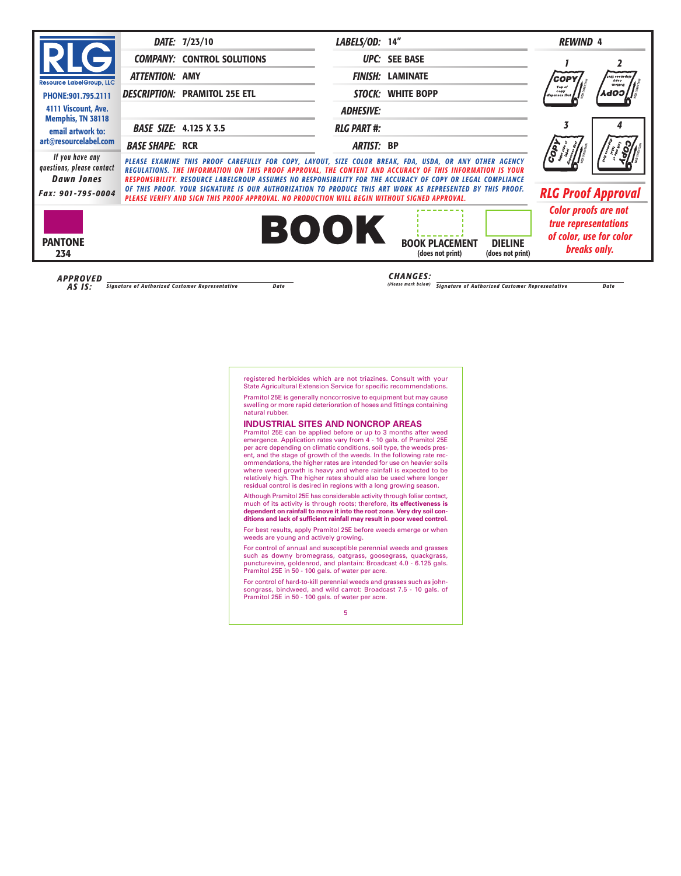registered herbicides which are not triazines. Consult with your State Agricultural Extension Service for specific recommendations.

Pramitol 25E is generally noncorrosive to equipment but may cause swelling or more rapid deterioration of hoses and fittings containing natural rubber.

### **INDUSTRIAL SITES AND NONCROP AREAS**

Pramitol 25E can be applied before or up to 3 months after weed emergence. Application rates vary from 4 - 10 gals. of Pramitol 25E per acre depending on climatic conditions, soil type, the weeds present, and the stage of growth of the weeds. In the following rate recommendations, the higher rates are intended for use on heavier soils where weed growth is heavy and where rainfall is expected to be relatively high. The higher rates should also be used where longer residual control is desired in regions with a long growing season.

Although Pramitol 25E has considerable activity through foliar contact, much of its activity is through roots; therefore, **its effectiveness is dependent on rainfall to move it into the root zone. Very dry soil conditions and lack of sufficient rainfall may result in poor weed control.**

For best results, apply Pramitol 25E before weeds emerge or when weeds are young and actively growing.

For control of annual and susceptible perennial weeds and grasses such as downy bromegrass, oatgrass, goosegrass, quackgrass, puncturevine, goldenrod, and plantain: Broadcast 4.0 - 6.125 gals. Pramitol 25E in 50 - 100 gals. of water per acre.

For control of hard-to-kill perennial weeds and grasses such as johnsongrass, bindweed, and wild carrot: Broadcast 7.5 - 10 gals. of Pramitol 25E in 50 - 100 gals. of water per acre.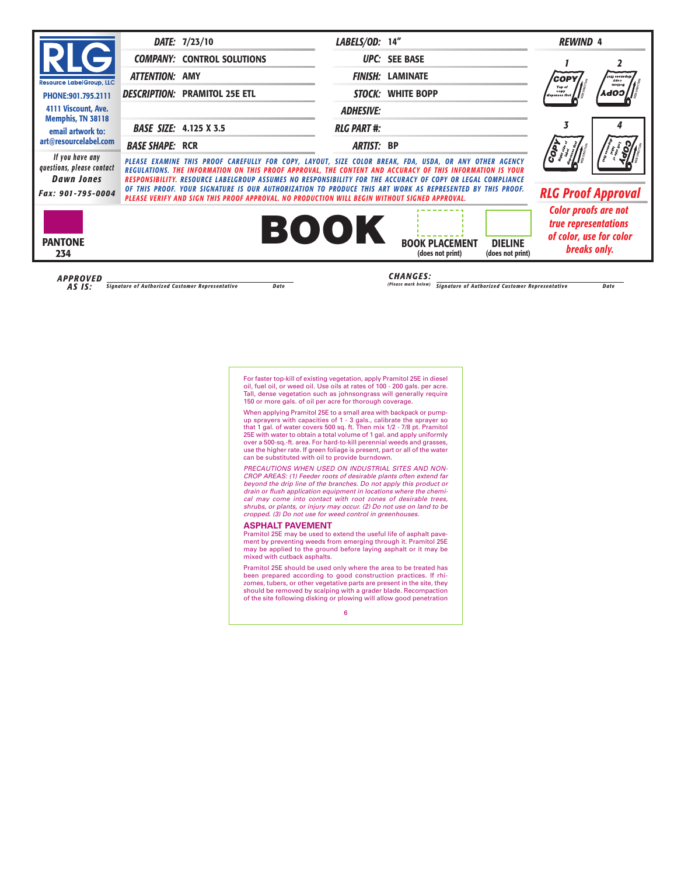For faster top-kill of existing vegetation, apply Pramitol 25E in diesel oil, fuel oil, or weed oil. Use oils at rates of 100 - 200 gals. per acre. Tall, dense vegetation such as johnsongrass will generally require 150 or more gals. of oil per acre for thorough coverage.

When applying Pramitol 25E to a small area with backpack or pumpup sprayers with capacities of 1 - 3 gals., calibrate the sprayer so that 1 gal. of water covers 500 sq. ft. Then mix 1/2 - 7/8 pt. Pramitol 25E with water to obtain a total volume of 1 gal. and apply uniformly over a 500-sq.-ft. area. For hard-to-kill perennial weeds and grasses, use the higher rate. If green foliage is present, part or all of the water can be substituted with oil to provide burndown.

PRECAUTIONS WHEN USED ON INDUSTRIAL SITES AND NON-CROP AREAS: (1) Feeder roots of desirable plants often extend far beyond the drip line of the branches. Do not apply this product or drain or flush application equipment in locations where the chemical may come into contact with root zones of desirable trees, shrubs, or plants, or injury may occur. (2) Do not use on land to be cropped. (3) Do not use for weed control in greenhouses.

### **ASPHALT PAVEMENT**

Pramitol 25E may be used to extend the useful life of asphalt pavement by preventing weeds from emerging through it. Pramitol 25E may be applied to the ground before laying asphalt or it may be mixed with cutback asphalts.

Pramitol 25E should be used only where the area to be treated has been prepared according to good construction practices. If rhizomes, tubers, or other vegetative parts are present in the site, they should be removed by scalping with a grader blade. Recompaction of the site following disking or plowing will allow good penetration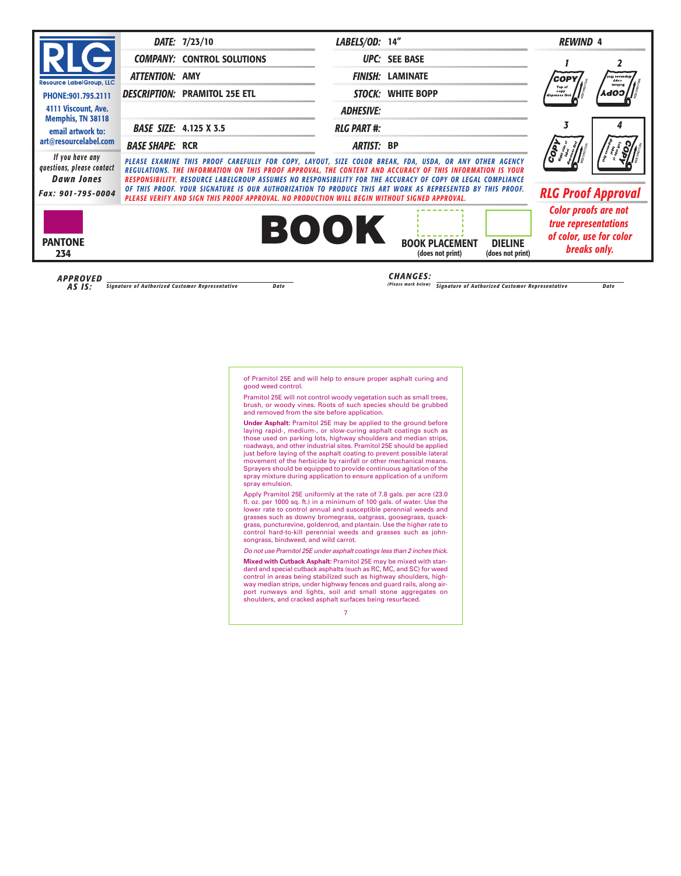of Pramitol 25E and will help to ensure proper asphalt curing and good weed control.

Pramitol 25E will not control woody vegetation such as small trees, brush, or woody vines. Roots of such species should be grubbed and removed from the site before application.

**Under Asphalt:** Pramitol 25E may be applied to the ground before laying rapid-, medium-, or slow-curing asphalt coatings such as those used on parking lots, highway shoulders and median strips, roadways, and other industrial sites. Pramitol 25E should be applied just before laying of the asphalt coating to prevent possible lateral movement of the herbicide by rainfall or other mechanical means. Sprayers should be equipped to provide continuous agitation of the spray mixture during application to ensure application of a uniform spray emulsion.

Apply Pramitol 25E uniformly at the rate of 7.8 gals. per acre (23.0 fl. oz. per 1000 sq. ft.) in a minimum of 100 gals. of water. Use the lower rate to control annual and susceptible perennial weeds and grasses such as downy bromegrass, oatgrass, goosegrass, quackgrass, puncturevine, goldenrod, and plantain. Use the higher rate to control hard-to-kill perennial weeds and grasses such as johnsongrass, bindweed, and wild carrot.

Do not use Pramitol 25E under asphalt coatings less than 2 inches thick.

**Mixed with Cutback Asphalt:** Pramitol 25E may be mixed with standard and special cutback asphalts (such as RC, MC, and SC) for weed control in areas being stabilized such as highway shoulders, highway median strips, under highway fences and guard rails, along airport runways and lights, soil and small stone aggregates on shoulders, and cracked asphalt surfaces being resurfaced.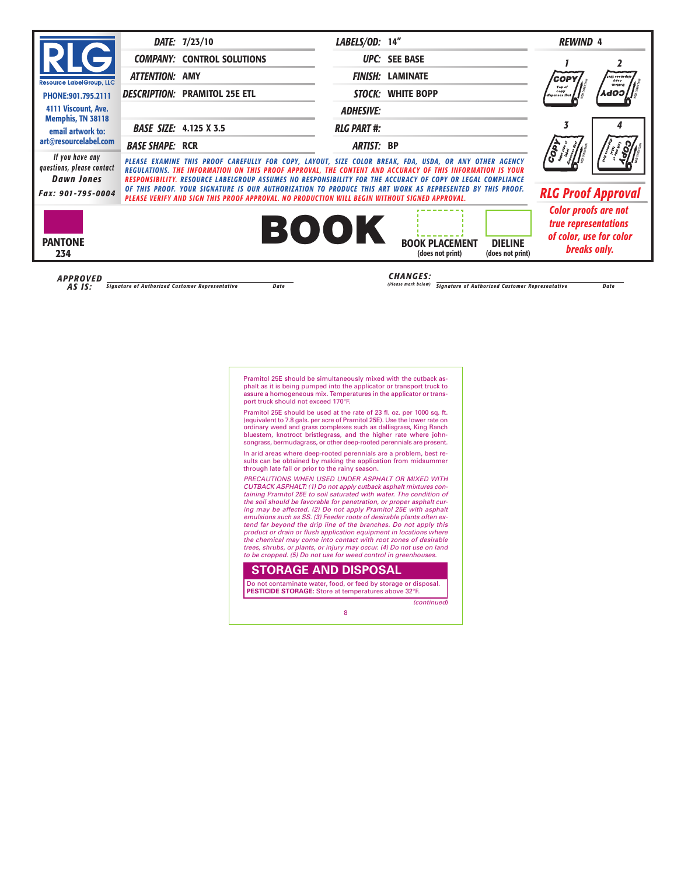Pramitol 25E should be simultaneously mixed with the cutback asphalt as it is being pumped into the applicator or transport truck to assure a homogeneous mix. Temperatures in the applicator or transport truck should not exceed 170°F.

Pramitol 25E should be used at the rate of 23 fl. oz. per 1000 sq. ft. (equivalent to 7.8 gals. per acre of Pramitol 25E). Use the lower rate on ordinary weed and grass complexes such as dallisgrass, King Ranch bluestem, knotroot bristlegrass, and the higher rate where johnsongrass, bermudagrass, or other deep-rooted perennials are present.

In arid areas where deep-rooted perennials are a problem, best results can be obtained by making the application from midsummer through late fall or prior to the rainy season.

PRECAUTIONS WHEN USED UNDER ASPHALT OR MIXED WITH CUTBACK ASPHALT: (1) Do not apply cutback asphalt mixtures containing Pramitol 25E to soil saturated with water. The condition of the soil should be favorable for penetration, or proper asphalt curing may be affected. (2) Do not apply Pramitol 25E with asphalt emulsions such as SS. (3) Feeder roots of desirable plants often extend far beyond the drip line of the branches. Do not apply this product or drain or flush application equipment in locations where the chemical may come into contact with root zones of desirable trees, shrubs, or plants, or injury may occur. (4) Do not use on land to be cropped. (5) Do not use for weed control in greenhouses.

## **STORAGE AND DISPOSAL**

Do not contaminate water, food, or feed by storage or disposal. **PESTICIDE STORAGE:** Store at temperatures above 32°F.

(continued)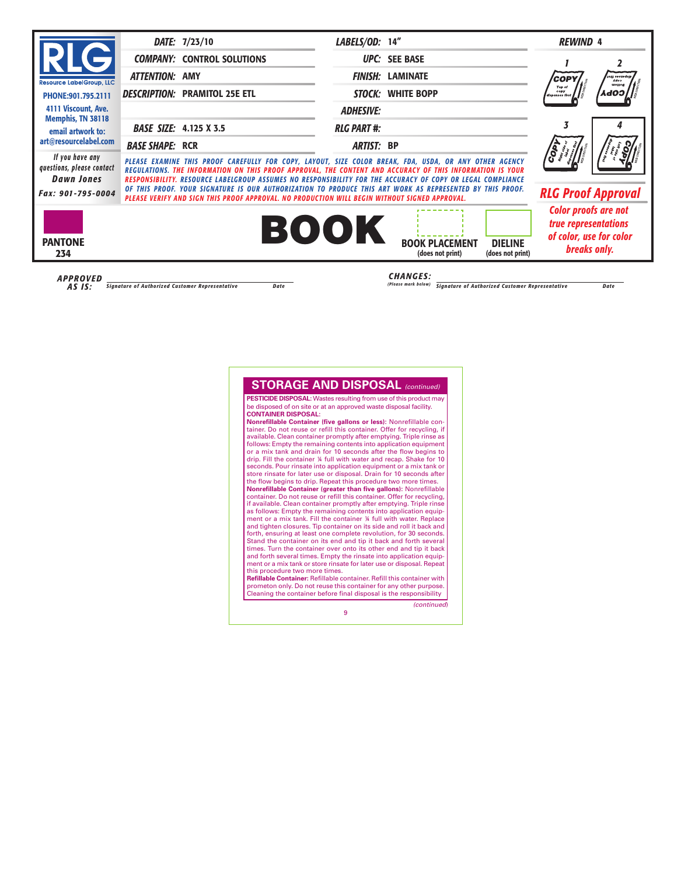## **STORAGE AND DISPOSAL** (continued)

**PESTICIDE DISPOSAL:** Wastes resulting from use of this product may be disposed of on site or at an approved waste disposal facility. **CONTAINER DISPOSAL:**

**Nonrefillable Container (five gallons or less):** Nonrefillable container. Do not reuse or refill this container. Offer for recycling, if available. Clean container promptly after emptying. Triple rinse as follows: Empty the remaining contents into application equipment or a mix tank and drain for 10 seconds after the flow begins to drip. Fill the container ¼ full with water and recap. Shake for 10 seconds. Pour rinsate into application equipment or a mix tank or store rinsate for later use or disposal. Drain for 10 seconds after the flow begins to drip. Repeat this procedure two more times.

**Nonrefillable Container (greater than five gallons):** Nonrefillable container. Do not reuse or refill this container. Offer for recycling, if available. Clean container promptly after emptying. Triple rinse as follows: Empty the remaining contents into application equipment or a mix tank. Fill the container ¼ full with water. Replace and tighten closures. Tip container on its side and roll it back and forth, ensuring at least one complete revolution, for 30 seconds. Stand the container on its end and tip it back and forth several times. Turn the container over onto its other end and tip it back and forth several times. Empty the rinsate into application equipment or a mix tank or store rinsate for later use or disposal. Repeat this procedure two more times.

**Refillable Container:** Refillable container. Refill this container with prometon only. Do not reuse this container for any other purpose. Cleaning the container before final disposal is the responsibility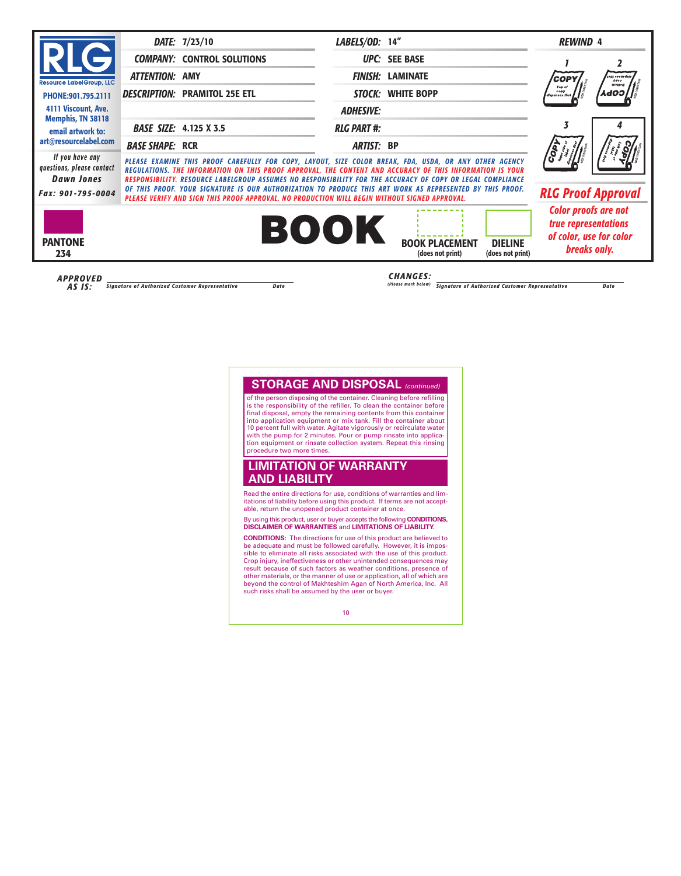# **STORAGE AND DISPOSAL** (continued)

of the person disposing of the container. Cleaning before refilling is the responsibility of the refiller. To clean the container before final disposal, empty the remaining contents from this container into application equipment or mix tank. Fill the container about 10 percent full with water. Agitate vigorously or recirculate water with the pump for 2 minutes. Pour or pump rinsate into application equipment or rinsate collection system. Repeat this rinsing procedure two more times.

## **LIMITATION OF WARRANTY AND LIABILITY**

Read the entire directions for use, conditions of warranties and limitations of liability before using this product. If terms are not acceptable, return the unopened product container at once.

By using this product, user or buyer accepts the following **CONDITIONS, DISCLAIMER OF WARRANTIES** and **LIMITATIONS OF LIABILITY.**

**CONDITIONS:** The directions for use of this product are believed to be adequate and must be followed carefully. However, it is impossible to eliminate all risks associated with the use of this product. Crop injury, ineffectiveness or other unintended consequences may result because of such factors as weather conditions, presence of other materials, or the manner of use or application, all of which are beyond the control of Makhteshim Agan of North America, Inc. All such risks shall be assumed by the user or buyer.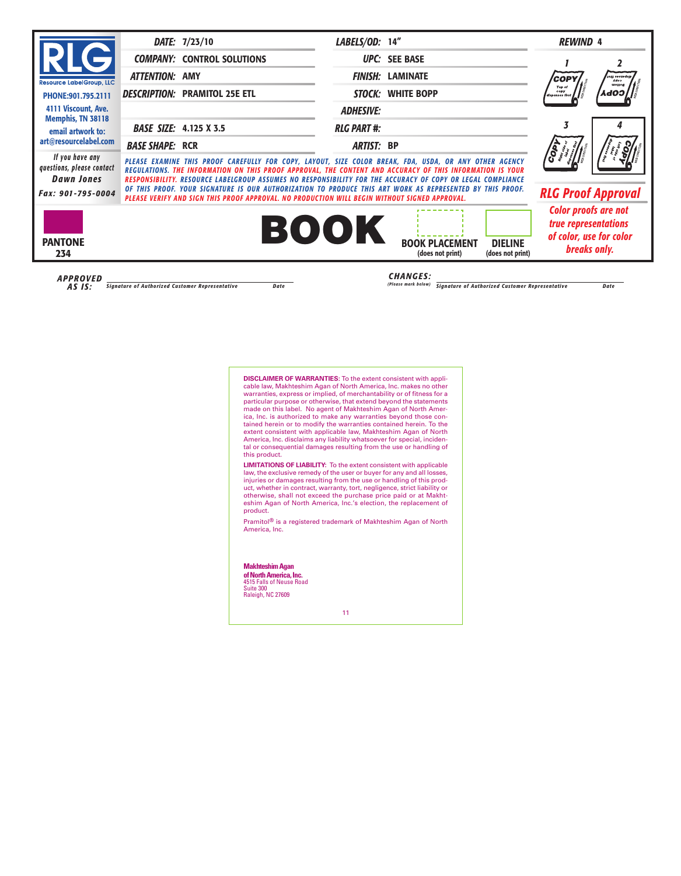**DISCLAIMER OF WARRANTIES:** To the extent consistent with applicable law, Makhteshim Agan of North America, Inc. makes no other warranties, express or implied, of merchantability or of fitness for a particular purpose or otherwise, that extend beyond the statements made on this label. No agent of Makhteshim Agan of North America, Inc. is authorized to make any warranties beyond those contained herein or to modify the warranties contained herein. To the extent consistent with applicable law, Makhteshim Agan of North America, Inc. disclaims any liability whatsoever for special, incidental or consequential damages resulting from the use or handling of this product.

**LIMITATIONS OF LIABILITY:** To the extent consistent with applicable law, the exclusive remedy of the user or buyer for any and all losses, injuries or damages resulting from the use or handling of this product, whether in contract, warranty, tort, negligence, strict liability or otherwise, shall not exceed the purchase price paid or at Makhteshim Agan of North America, Inc.'s election, the replacement of product.

Pramitol<sup>®</sup> is a registered trademark of Makhteshim Agan of North America, Inc.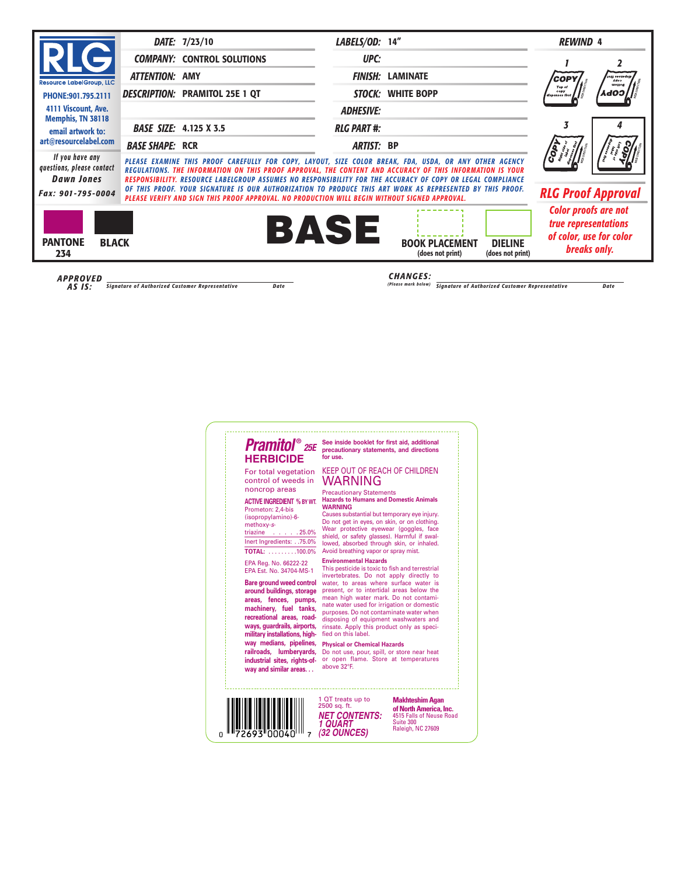# **Pramitol**® 25E **HERBICIDE**

For total vegetation control of weeds in noncrop areas

### **ACTIVE INGREDIENT % BY WT.**

| Prometon: 2.4-bis       |  |
|-------------------------|--|
| (isopropylamino)-6-     |  |
| methoxy-s-              |  |
| triazine 25.0%          |  |
| lnert Ingredients:75.0% |  |
| <b>TOTAL: 100.0%</b>    |  |

EPA Reg. No. 66222-22 EPA Est. No. 34704-MS-1

**Bare ground weed control around buildings, storage areas, fences, pumps, machinery, fuel tanks, recreational areas, roadways, guardrails, airports,** military installations, high**way medians, pipelines, railroads, lumberyards, industrial sites, rights-ofway and similar areas. . .**

See inside booklet for first aid, additional precautionary statements, and directions for use

## KEEP OUT OF REACH OF CHILDREN WARNING

#### Precautionary Statements **Hazards to Humans and Domestic Animals WARNING**

Causes substantial but temporary eye injury. Do not get in eyes, on skin, or on clothing. Wear protective eyewear (goggles, face shield, or safety glasses). Harmful if swallowed, absorbed through skin, or inhaled. Avoid breathing vapor or spray mist.

### **Environmental Hazards**

This pesticide is toxic to fish and terrestrial invertebrates. Do not apply directly to water, to areas where surface water is present, or to intertidal areas below the mean high water mark. Do not contaminate water used for irrigation or domestic purposes. Do not contaminate water when disposing of equipment washwaters and rinsate. Apply this product only as specified on this label.

### **Physical or Chemical Hazards**

Do not use, pour, spill, or store near heat or open flame. Store at temperatures above 32°F.



1 QT treats up to 2500 sq. ft. **NET CONTENTS: 1 QUART (32 OUNCES)**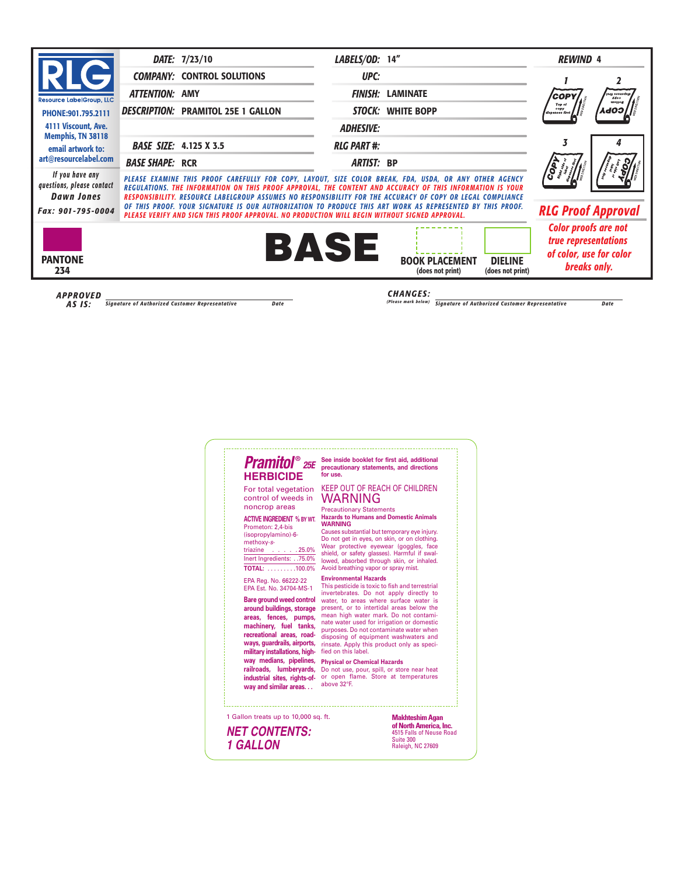# **Pramitol**® 25E **HERBICIDE**

For total vegetation control of weeds in noncrop areas

### **ACTIVE INGREDIENT % BY WT.**

| Prometon: 2,4-bis       |  |
|-------------------------|--|
| (isopropylamino)-6-     |  |
| methoxy-s-              |  |
| triazine $\ldots$ 25.0% |  |
| lnert Ingredients:75.0% |  |
| TOTAI: 100.0%           |  |

EPA Reg. No. 66222-22 EPA Est. No. 34704-MS-1

**Bare ground weed control around buildings, storage areas, fences, pumps, machinery, fuel tanks, recreational areas, roadways, guardrails, airports,** military installations, high**way medians, pipelines, railroads, lumberyards, industrial sites, rights-ofway and similar areas. . .**

See inside booklet for first aid, additional precautionary statements, and directions **for** use

## KEEP OUT OF REACH OF CHILDREN WARNING

#### Precautionary Statements **Hazards to Humans and Domestic Animals WARNING**

Causes substantial but temporary eye injury. Do not get in eyes, on skin, or on clothing. Wear protective eyewear (goggles, face shield, or safety glasses). Harmful if swallowed, absorbed through skin, or inhaled. Avoid breathing vapor or spray mist.

### **Environmental Hazards**

This pesticide is toxic to fish and terrestrial invertebrates. Do not apply directly to water, to areas where surface water is present, or to intertidal areas below the mean high water mark. Do not contaminate water used for irrigation or domestic purposes. Do not contaminate water when disposing of equipment washwaters and rinsate. Apply this product only as specified on this label.

### **Physical or Chemical Hazards**

Do not use, pour, spill, or store near heat or open flame. Store at temperatures above 32°F.

1 Gallon treats up to 10,000 sq. ft.

**NET CONTENTS: 1 GALLON**